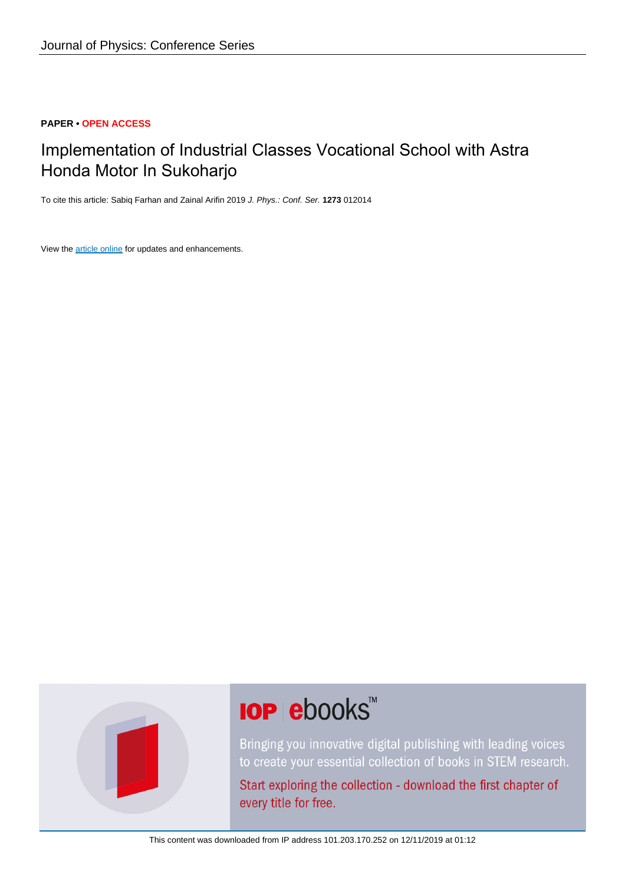#### **PAPER • OPEN ACCESS**

## Implementation of Industrial Classes Vocational School with Astra Honda Motor In Sukoharjo

To cite this article: Sabiq Farhan and Zainal Arifin 2019 J. Phys.: Conf. Ser. **1273** 012014

View the [article online](https://doi.org/10.1088/1742-6596/1273/1/012014) for updates and enhancements.



# **IOP ebooks**™

Bringing you innovative digital publishing with leading voices to create your essential collection of books in STEM research.

Start exploring the collection - download the first chapter of every title for free.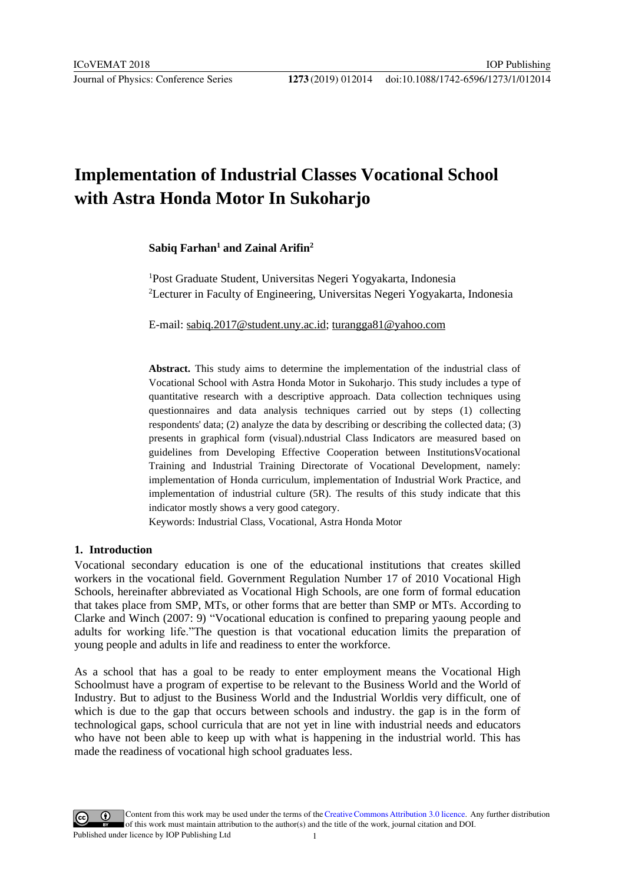## **Implementation of Industrial Classes Vocational School with Astra Honda Motor In Sukoharjo**

#### **Sabiq Farhan1 and Zainal Arifin2**

1 Post Graduate Student, Universitas Negeri Yogyakarta, Indonesia 2 Lecturer in Faculty of Engineering, Universitas Negeri Yogyakarta, Indonesia

E-mail: sabiq.2017@student.uny.ac.id; turangga81@yahoo.com

**Abstract.** This study aims to determine [the implementation of the in](mailto:turangga81@yahoo.com)dustrial class of Vocatio[nal School with Astra Honda Moto](mailto:sabiq.2017@student.uny.ac.id)r in Sukoharjo. This study includes a type of quantitative research with a descriptive approach. Data collection techniques using questionnaires and data analysis techniques carried out by steps (1) collecting respondents' data; (2) analyze the data by describing or describing the collected data; (3) presents in graphical form (visual).ndustrial Class Indicators are measured based on guidelines from Developing Effective Cooperation between InstitutionsVocational Training and Industrial Training Directorate of Vocational Development, namely: implementation of Honda curriculum, implementation of Industrial Work Practice, and implementation of industrial culture (5R). The results of this study indicate that this indicator mostly shows a very good category.

Keywords: Industrial Class, Vocational, Astra Honda Motor

#### **1. Introduction**

Vocational secondary education is one of the educational institutions that creates skilled workers in the vocational field. Government Regulation Number 17 of 2010 Vocational High Schools, hereinafter abbreviated as Vocational High Schools, are one form of formal education that takes place from SMP, MTs, or other forms that are better than SMP or MTs. According to Clarke and Winch (2007: 9) "Vocational education is confined to preparing yaoung people and adults for working life."The question is that vocational education limits the preparation of young people and adults in life and readiness to enter the workforce.

As a school that has a goal to be ready to enter employment means the Vocational High Schoolmust have a program of expertise to be relevant to the Business World and the World of Industry. But to adjust to the Business World and the Industrial Worldis very difficult, one of which is due to the gap that occurs between schools and industry. the gap is in the form of technological gaps, school curricula that are not yet in line with industrial needs and educators who have not been able to keep up with what is happening in the industrial world. This has made the readiness of vocational high school graduates less.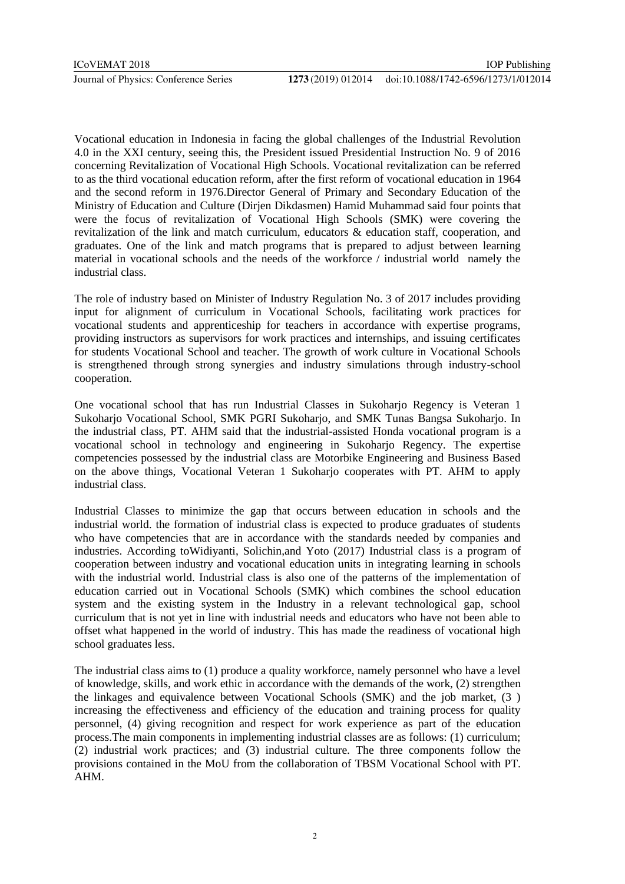Vocational education in Indonesia in facing the global challenges of the Industrial Revolution 4.0 in the XXI century, seeing this, the President issued Presidential Instruction No. 9 of 2016 concerning Revitalization of Vocational High Schools. Vocational revitalization can be referred to as the third vocational education reform, after the first reform of vocational education in 1964 and the second reform in 1976.Director General of Primary and Secondary Education of the Ministry of Education and Culture (Dirjen Dikdasmen) Hamid Muhammad said four points that were the focus of revitalization of Vocational High Schools (SMK) were covering the revitalization of the link and match curriculum, educators & education staff, cooperation, and graduates. One of the link and match programs that is prepared to adjust between learning material in vocational schools and the needs of the workforce / industrial world namely the industrial class.

The role of industry based on Minister of Industry Regulation No. 3 of 2017 includes providing input for alignment of curriculum in Vocational Schools, facilitating work practices for vocational students and apprenticeship for teachers in accordance with expertise programs, providing instructors as supervisors for work practices and internships, and issuing certificates for students Vocational School and teacher. The growth of work culture in Vocational Schools is strengthened through strong synergies and industry simulations through industry-school cooperation.

One vocational school that has run Industrial Classes in Sukoharjo Regency is Veteran 1 Sukoharjo Vocational School, SMK PGRI Sukoharjo, and SMK Tunas Bangsa Sukoharjo. In the industrial class, PT. AHM said that the industrial-assisted Honda vocational program is a vocational school in technology and engineering in Sukoharjo Regency. The expertise competencies possessed by the industrial class are Motorbike Engineering and Business Based on the above things, Vocational Veteran 1 Sukoharjo cooperates with PT. AHM to apply industrial class.

Industrial Classes to minimize the gap that occurs between education in schools and the industrial world. the formation of industrial class is expected to produce graduates of students who have competencies that are in accordance with the standards needed by companies and industries. According toWidiyanti, Solichin,and Yoto (2017) Industrial class is a program of cooperation between industry and vocational education units in integrating learning in schools with the industrial world. Industrial class is also one of the patterns of the implementation of education carried out in Vocational Schools (SMK) which combines the school education system and the existing system in the Industry in a relevant technological gap, school curriculum that is not yet in line with industrial needs and educators who have not been able to offset what happened in the world of industry. This has made the readiness of vocational high school graduates less.

The industrial class aims to (1) produce a quality workforce, namely personnel who have a level of knowledge, skills, and work ethic in accordance with the demands of the work, (2) strengthen the linkages and equivalence between Vocational Schools (SMK) and the job market, (3 ) increasing the effectiveness and efficiency of the education and training process for quality personnel, (4) giving recognition and respect for work experience as part of the education process.The main components in implementing industrial classes are as follows: (1) curriculum; (2) industrial work practices; and (3) industrial culture. The three components follow the provisions contained in the MoU from the collaboration of TBSM Vocational School with PT. AHM.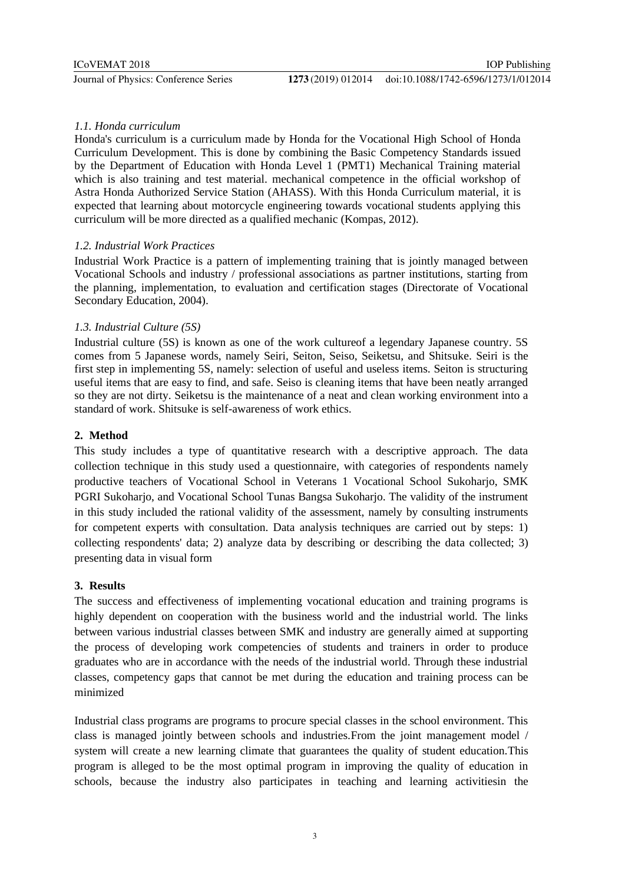#### *1.1. Honda curriculum*

Honda's curriculum is a curriculum made by Honda for the Vocational High School of Honda Curriculum Development. This is done by combining the Basic Competency Standards issued by the Department of Education with Honda Level 1 (PMT1) Mechanical Training material which is also training and test material. mechanical competence in the official workshop of Astra Honda Authorized Service Station (AHASS). With this Honda Curriculum material, it is expected that learning about motorcycle engineering towards vocational students applying this curriculum will be more directed as a qualified mechanic (Kompas, 2012).

#### *1.2. Industrial Work Practices*

Industrial Work Practice is a pattern of implementing training that is jointly managed between Vocational Schools and industry / professional associations as partner institutions, starting from the planning, implementation, to evaluation and certification stages (Directorate of Vocational Secondary Education, 2004).

#### *1.3. Industrial Culture (5S)*

Industrial culture (5S) is known as one of the work cultureof a legendary Japanese country. 5S comes from 5 Japanese words, namely Seiri, Seiton, Seiso, Seiketsu, and Shitsuke. Seiri is the first step in implementing 5S, namely: selection of useful and useless items. Seiton is structuring useful items that are easy to find, and safe. Seiso is cleaning items that have been neatly arranged so they are not dirty. Seiketsu is the maintenance of a neat and clean working environment into a standard of work. Shitsuke is self-awareness of work ethics.

#### **2. Method**

This study includes a type of quantitative research with a descriptive approach. The data collection technique in this study used a questionnaire, with categories of respondents namely productive teachers of Vocational School in Veterans 1 Vocational School Sukoharjo, SMK PGRI Sukoharjo, and Vocational School Tunas Bangsa Sukoharjo. The validity of the instrument in this study included the rational validity of the assessment, namely by consulting instruments for competent experts with consultation. Data analysis techniques are carried out by steps: 1) collecting respondents' data; 2) analyze data by describing or describing the data collected; 3) presenting data in visual form

#### **3. Results**

The success and effectiveness of implementing vocational education and training programs is highly dependent on cooperation with the business world and the industrial world. The links between various industrial classes between SMK and industry are generally aimed at supporting the process of developing work competencies of students and trainers in order to produce graduates who are in accordance with the needs of the industrial world. Through these industrial classes, competency gaps that cannot be met during the education and training process can be minimized

Industrial class programs are programs to procure special classes in the school environment. This class is managed jointly between schools and industries.From the joint management model / system will create a new learning climate that guarantees the quality of student education.This program is alleged to be the most optimal program in improving the quality of education in schools, because the industry also participates in teaching and learning activitiesin the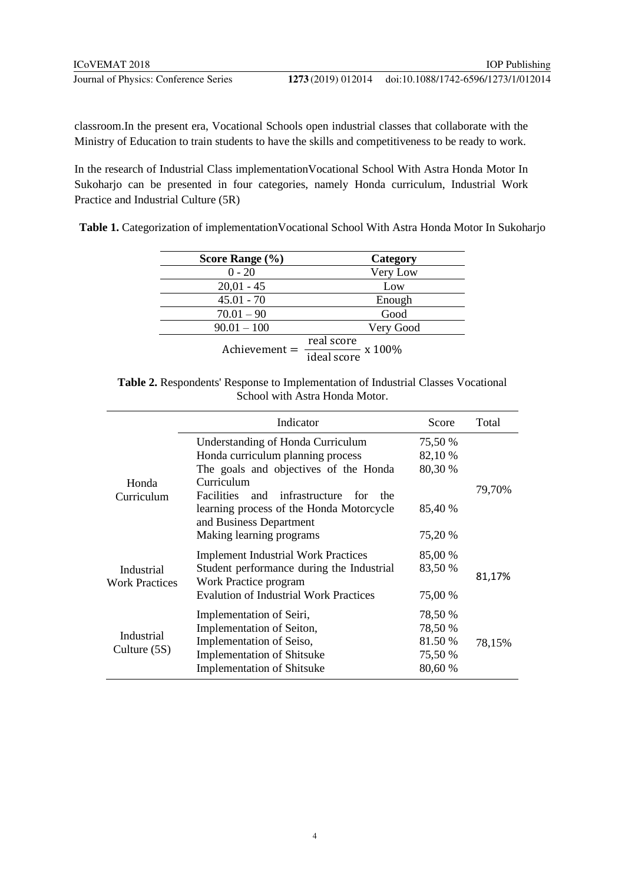classroom.In the present era, Vocational Schools open industrial classes that collaborate with the Ministry of Education to train students to have the skills and competitiveness to be ready to work.

In the research of Industrial Class implementationVocational School With Astra Honda Motor In Sukoharjo can be presented in four categories, namely Honda curriculum, Industrial Work Practice and Industrial Culture (5R)

**Table 1.** Categorization of implementationVocational School With Astra Honda Motor In Sukoharjo

| Score Range $(\% )$ | Category                                               |
|---------------------|--------------------------------------------------------|
| $0 - 20$            | Very Low                                               |
| $20,01 - 45$        | Low                                                    |
| $45.01 - 70$        | Enough                                                 |
| $70.01 - 90$        | Good                                                   |
| $90.01 - 100$       | Very Good                                              |
| $A$ chievement =    | real score<br>x 100%<br>$\frac{1}{\text{ideal score}}$ |

| <b>Table 2.</b> Respondents' Response to Implementation of Industrial Classes Vocational |                                |  |  |
|------------------------------------------------------------------------------------------|--------------------------------|--|--|
|                                                                                          | School with Astra Honda Motor. |  |  |

|                                     | Indicator                                                           | Score   | Total  |
|-------------------------------------|---------------------------------------------------------------------|---------|--------|
| Honda<br>Curriculum                 | Understanding of Honda Curriculum                                   | 75,50 % |        |
|                                     | Honda curriculum planning process                                   | 82,10 % |        |
|                                     | The goals and objectives of the Honda                               | 80,30 % |        |
|                                     | Curriculum<br><b>Facilities</b><br>and<br>infrastructure for<br>the |         | 79,70% |
|                                     | learning process of the Honda Motorcycle<br>and Business Department | 85,40 % |        |
|                                     | Making learning programs                                            | 75,20 % |        |
| Industrial<br><b>Work Practices</b> | <b>Implement Industrial Work Practices</b>                          | 85,00 % |        |
|                                     | Student performance during the Industrial<br>Work Practice program  | 83,50 % | 81,17% |
|                                     | <b>Evalution of Industrial Work Practices</b>                       | 75,00 % |        |
| Industrial<br>Culture (5S)          | Implementation of Seiri,                                            | 78,50 % |        |
|                                     | Implementation of Seiton,                                           | 78,50 % |        |
|                                     | Implementation of Seiso,                                            | 81.50 % | 78,15% |
|                                     | <b>Implementation of Shitsuke</b>                                   | 75,50 % |        |
|                                     | <b>Implementation of Shitsuke</b>                                   | 80,60 % |        |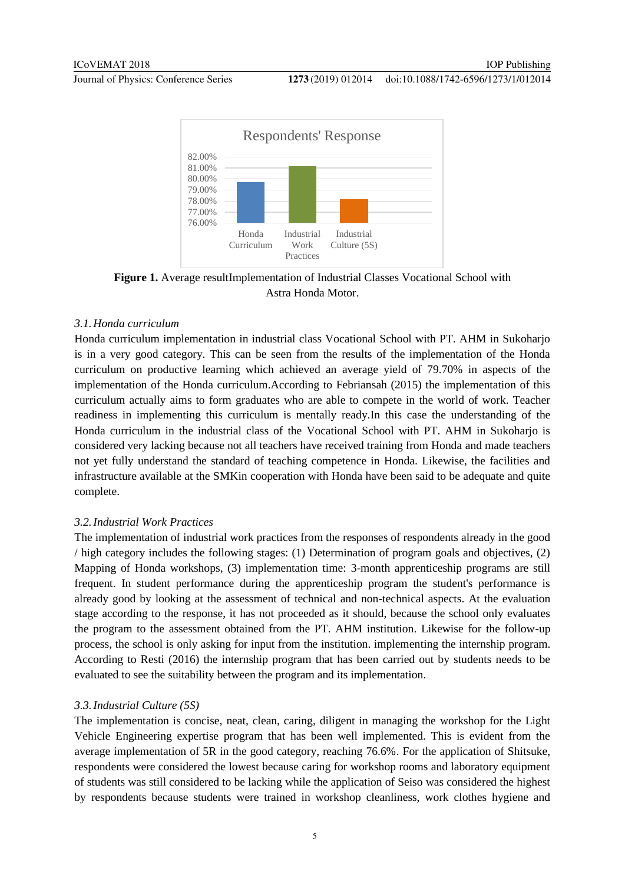#### doi:10.1088/1742-6596/1273/1/012014



**Figure 1.** Average resultImplementation of Industrial Classes Vocational School with Astra Honda Motor.

#### *3.1.Honda curriculum*

Honda curriculum implementation in industrial class Vocational School with PT. AHM in Sukoharjo is in a very good category. This can be seen from the results of the implementation of the Honda curriculum on productive learning which achieved an average yield of 79.70% in aspects of the implementation of the Honda curriculum.According to Febriansah (2015) the implementation of this curriculum actually aims to form graduates who are able to compete in the world of work. Teacher readiness in implementing this curriculum is mentally ready.In this case the understanding of the Honda curriculum in the industrial class of the Vocational School with PT. AHM in Sukoharjo is considered very lacking because not all teachers have received training from Honda and made teachers not yet fully understand the standard of teaching competence in Honda. Likewise, the facilities and infrastructure available at the SMKin cooperation with Honda have been said to be adequate and quite complete.

#### *3.2.Industrial Work Practices*

The implementation of industrial work practices from the responses of respondents already in the good / high category includes the following stages: (1) Determination of program goals and objectives, (2) Mapping of Honda workshops, (3) implementation time: 3-month apprenticeship programs are still frequent. In student performance during the apprenticeship program the student's performance is already good by looking at the assessment of technical and non-technical aspects. At the evaluation stage according to the response, it has not proceeded as it should, because the school only evaluates the program to the assessment obtained from the PT. AHM institution. Likewise for the follow-up process, the school is only asking for input from the institution. implementing the internship program. According to Resti (2016) the internship program that has been carried out by students needs to be evaluated to see the suitability between the program and its implementation.

#### *3.3.Industrial Culture (5S)*

The implementation is concise, neat, clean, caring, diligent in managing the workshop for the Light Vehicle Engineering expertise program that has been well implemented. This is evident from the average implementation of 5R in the good category, reaching 76.6%. For the application of Shitsuke, respondents were considered the lowest because caring for workshop rooms and laboratory equipment of students was still considered to be lacking while the application of Seiso was considered the highest by respondents because students were trained in workshop cleanliness, work clothes hygiene and